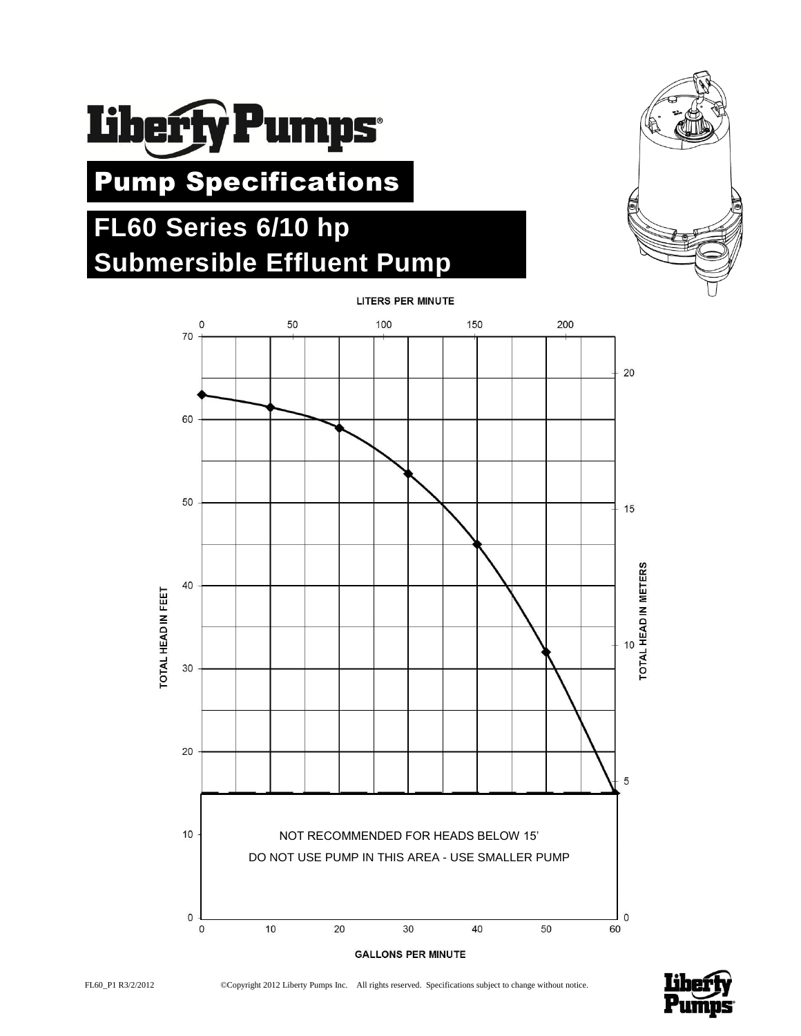

# Pump Specifications

## **FL60 Series 6/10 hp Submersible Effluent Pump**





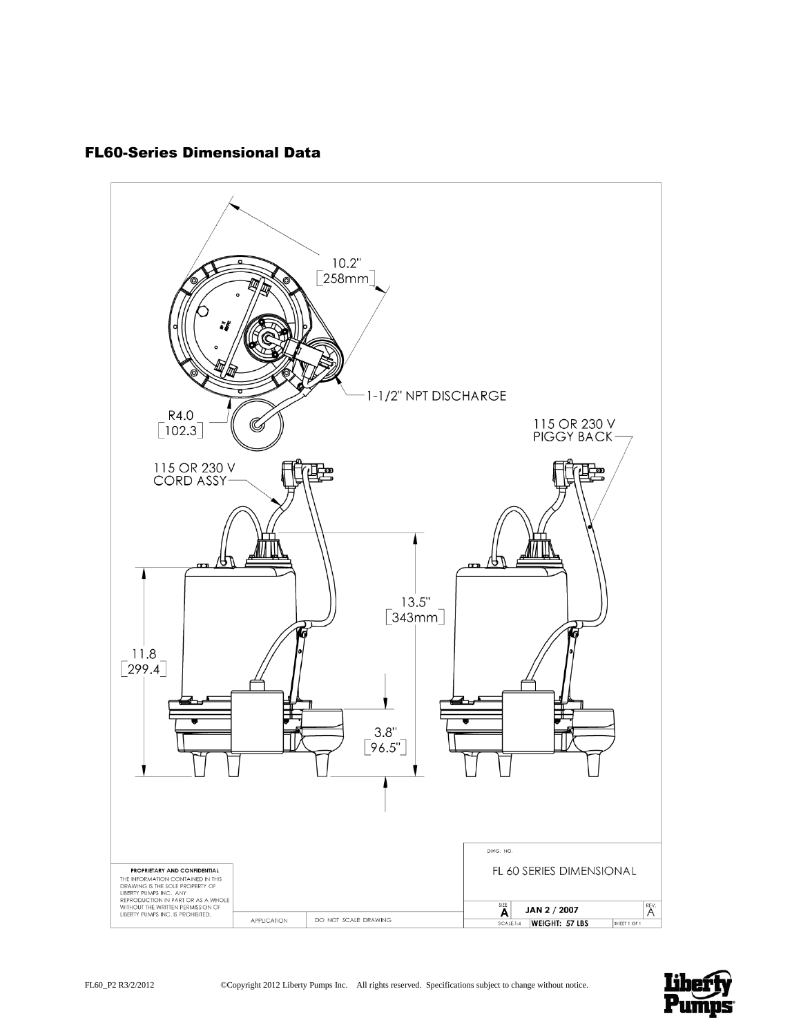## FL60-Series Dimensional Data



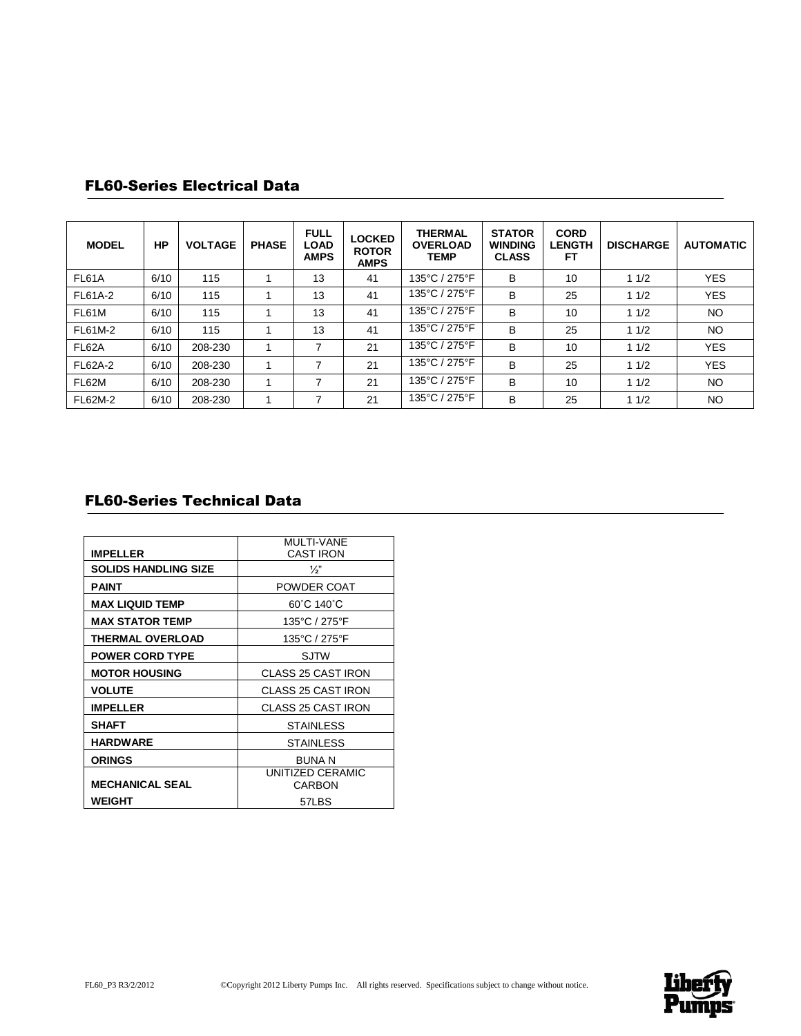| <b>MODEL</b>   | HP   | <b>VOLTAGE</b> | <b>PHASE</b> | <b>FULL</b><br><b>LOAD</b><br><b>AMPS</b> | <b>LOCKED</b><br><b>ROTOR</b><br><b>AMPS</b> | <b>THERMAL</b><br><b>OVERLOAD</b><br><b>TEMP</b> | <b>STATOR</b><br><b>WINDING</b><br><b>CLASS</b> | <b>CORD</b><br><b>LENGTH</b><br>FТ | <b>DISCHARGE</b> | <b>AUTOMATIC</b> |
|----------------|------|----------------|--------------|-------------------------------------------|----------------------------------------------|--------------------------------------------------|-------------------------------------------------|------------------------------------|------------------|------------------|
| FL61A          | 6/10 | 115            |              | 13                                        | 41                                           | 135°C / 275°F                                    | B                                               | 10                                 | 11/2             | <b>YES</b>       |
| FL61A-2        | 6/10 | 115            |              | 13                                        | 41                                           | 135°C / 275°F                                    | B                                               | 25                                 | 11/2             | <b>YES</b>       |
| FL61M          | 6/10 | 115            |              | 13                                        | 41                                           | 135°C / 275°F                                    | B                                               | 10                                 | 11/2             | <b>NO</b>        |
| FL61M-2        | 6/10 | 115            |              | 13                                        | 41                                           | 135°C / 275°F                                    | B                                               | 25                                 | 11/2             | <b>NO</b>        |
| FL62A          | 6/10 | 208-230        |              | ⇁                                         | 21                                           | 135°C / 275°F                                    | B                                               | 10                                 | 11/2             | <b>YES</b>       |
| <b>FL62A-2</b> | 6/10 | 208-230        |              | ⇁                                         | 21                                           | 135°C / 275°F                                    | B                                               | 25                                 | 11/2             | <b>YES</b>       |
| FL62M          | 6/10 | 208-230        |              | 7                                         | 21                                           | 135°C / 275°F                                    | B                                               | 10                                 | 11/2             | <b>NO</b>        |
| FL62M-2        | 6/10 | 208-230        |              | ⇁                                         | 21                                           | 135°C / 275°F                                    | B                                               | 25                                 | 11/2             | NO.              |

## FL60-Series Electrical Data

## FL60-Series Technical Data

|                             | <b>MULTI-VANE</b>          |  |  |  |
|-----------------------------|----------------------------|--|--|--|
| <b>IMPELLER</b>             | <b>CAST IRON</b>           |  |  |  |
| <b>SOLIDS HANDLING SIZE</b> | $\frac{1}{2}$              |  |  |  |
| <b>PAINT</b>                | POWDER COAT                |  |  |  |
| <b>MAX LIQUID TEMP</b>      | 60°C 140°C                 |  |  |  |
| <b>MAX STATOR TEMP</b>      | 135°C / 275°F              |  |  |  |
| <b>THERMAL OVERLOAD</b>     | 135°C / 275°F              |  |  |  |
| <b>POWER CORD TYPE</b>      | SJTW                       |  |  |  |
| <b>MOTOR HOUSING</b>        | <b>CLASS 25 CAST IRON</b>  |  |  |  |
| <b>VOLUTE</b>               | <b>CLASS 25 CAST IRON</b>  |  |  |  |
| <b>IMPELLER</b>             | <b>CLASS 25 CAST IRON</b>  |  |  |  |
| <b>SHAFT</b>                | <b>STAINLESS</b>           |  |  |  |
| <b>HARDWARE</b>             | <b>STAINLESS</b>           |  |  |  |
| <b>ORINGS</b>               | <b>BUNA N</b>              |  |  |  |
| <b>MECHANICAL SEAL</b>      | UNITIZED CERAMIC<br>CARBON |  |  |  |
| WEIGHT                      | 57LBS                      |  |  |  |

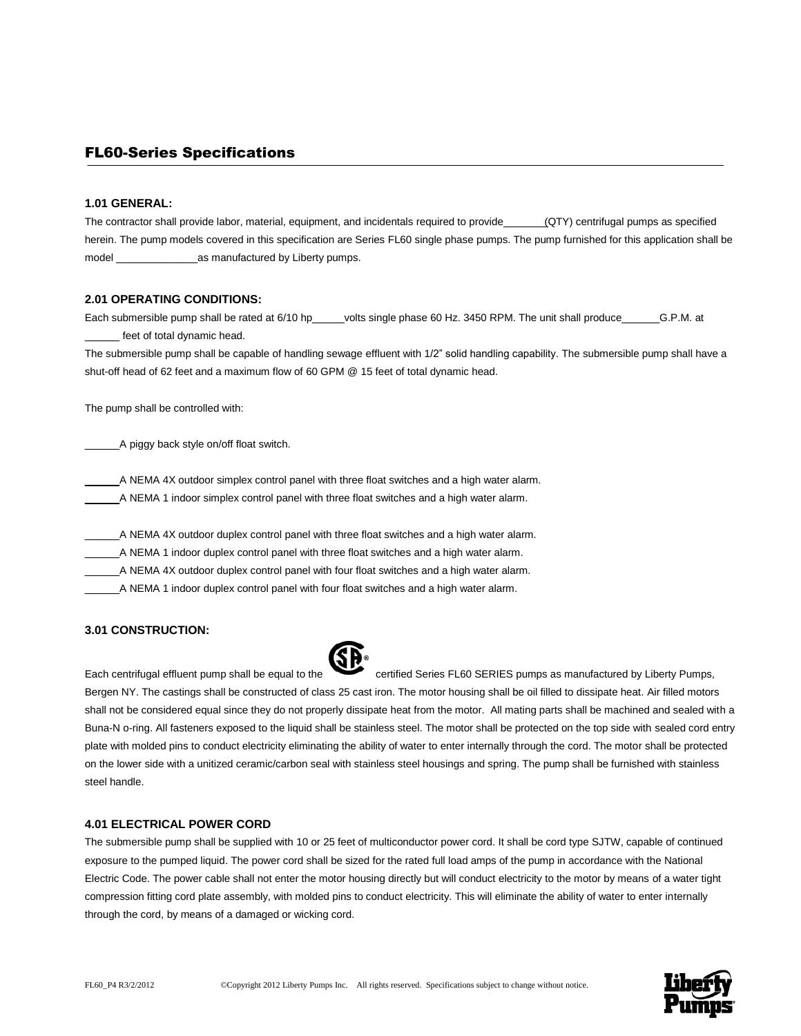### FL60-Series Specifications

#### **1.01 GENERAL:**

The contractor shall provide labor, material, equipment, and incidentals required to provide (QTY) centrifugal pumps as specified herein. The pump models covered in this specification are Series FL60 single phase pumps. The pump furnished for this application shall be model \_\_\_\_\_\_\_\_\_\_\_\_\_\_as manufactured by Liberty pumps.

#### **2.01 OPERATING CONDITIONS:**

Each submersible pump shall be rated at 6/10 hp\_\_\_\_\_volts single phase 60 Hz. 3450 RPM. The unit shall produce \_\_\_\_\_\_\_G.P.M. at feet of total dynamic head.

The submersible pump shall be capable of handling sewage effluent with 1/2" solid handling capability. The submersible pump shall have a shut-off head of 62 feet and a maximum flow of 60 GPM @ 15 feet of total dynamic head.

The pump shall be controlled with:

\_\_\_\_\_\_A piggy back style on/off float switch.

A NEMA 4X outdoor simplex control panel with three float switches and a high water alarm.

\_\_\_\_\_\_A NEMA 1 indoor simplex control panel with three float switches and a high water alarm.

\_\_\_\_\_\_A NEMA 4X outdoor duplex control panel with three float switches and a high water alarm.

\_\_\_\_\_\_A NEMA 1 indoor duplex control panel with three float switches and a high water alarm.

A NEMA 4X outdoor duplex control panel with four float switches and a high water alarm.

\_\_\_\_\_\_A NEMA 1 indoor duplex control panel with four float switches and a high water alarm.

#### **3.01 CONSTRUCTION:**



Each centrifugal effluent pump shall be equal to the certified Series FL60 SERIES pumps as manufactured by Liberty Pumps, Bergen NY. The castings shall be constructed of class 25 cast iron. The motor housing shall be oil filled to dissipate heat. Air filled motors shall not be considered equal since they do not properly dissipate heat from the motor. All mating parts shall be machined and sealed with a Buna-N o-ring. All fasteners exposed to the liquid shall be stainless steel. The motor shall be protected on the top side with sealed cord entry plate with molded pins to conduct electricity eliminating the ability of water to enter internally through the cord. The motor shall be protected on the lower side with a unitized ceramic/carbon seal with stainless steel housings and spring. The pump shall be furnished with stainless steel handle.

#### **4.01 ELECTRICAL POWER CORD**

The submersible pump shall be supplied with 10 or 25 feet of multiconductor power cord. It shall be cord type SJTW, capable of continued exposure to the pumped liquid. The power cord shall be sized for the rated full load amps of the pump in accordance with the National Electric Code. The power cable shall not enter the motor housing directly but will conduct electricity to the motor by means of a water tight compression fitting cord plate assembly, with molded pins to conduct electricity. This will eliminate the ability of water to enter internally through the cord, by means of a damaged or wicking cord.

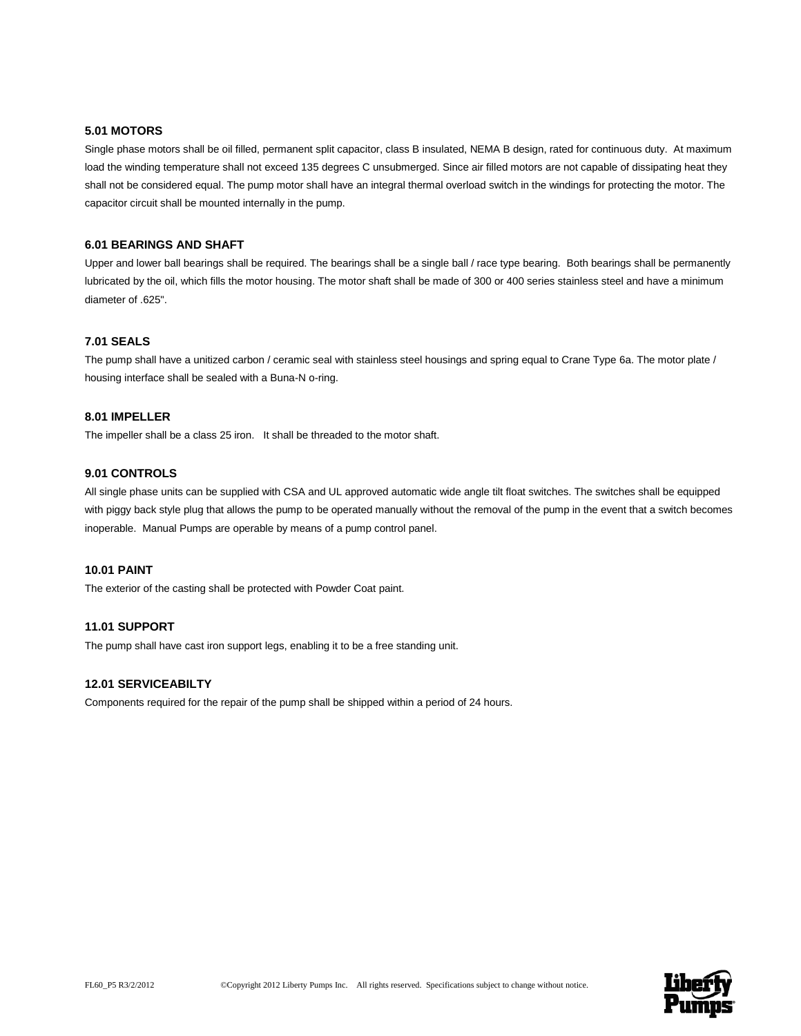#### **5.01 MOTORS**

Single phase motors shall be oil filled, permanent split capacitor, class B insulated, NEMA B design, rated for continuous duty. At maximum load the winding temperature shall not exceed 135 degrees C unsubmerged. Since air filled motors are not capable of dissipating heat they shall not be considered equal. The pump motor shall have an integral thermal overload switch in the windings for protecting the motor. The capacitor circuit shall be mounted internally in the pump.

#### **6.01 BEARINGS AND SHAFT**

Upper and lower ball bearings shall be required. The bearings shall be a single ball / race type bearing. Both bearings shall be permanently lubricated by the oil, which fills the motor housing. The motor shaft shall be made of 300 or 400 series stainless steel and have a minimum diameter of .625".

#### **7.01 SEALS**

The pump shall have a unitized carbon / ceramic seal with stainless steel housings and spring equal to Crane Type 6a. The motor plate / housing interface shall be sealed with a Buna-N o-ring.

#### **8.01 IMPELLER**

The impeller shall be a class 25 iron. It shall be threaded to the motor shaft.

#### **9.01 CONTROLS**

All single phase units can be supplied with CSA and UL approved automatic wide angle tilt float switches. The switches shall be equipped with piggy back style plug that allows the pump to be operated manually without the removal of the pump in the event that a switch becomes inoperable. Manual Pumps are operable by means of a pump control panel.

#### **10.01 PAINT**

The exterior of the casting shall be protected with Powder Coat paint.

#### **11.01 SUPPORT**

The pump shall have cast iron support legs, enabling it to be a free standing unit.

#### **12.01 SERVICEABILTY**

Components required for the repair of the pump shall be shipped within a period of 24 hours.